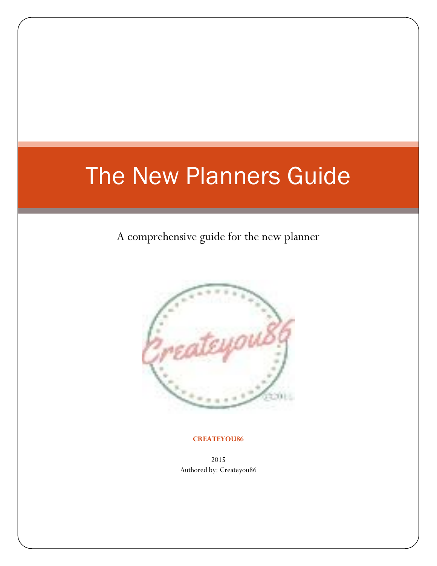# The New Planners Guide

A comprehensive guide for the new planner



#### **CREATEYOU86**

<sup>2015</sup> Authored by: Createyou86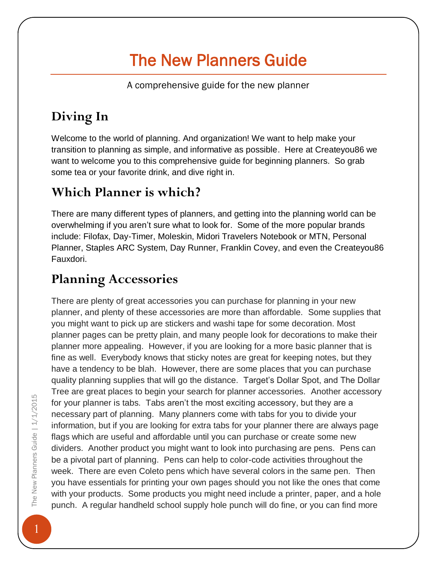# The New Planners Guide

A comprehensive guide for the new planner

## **Diving In**

Welcome to the world of planning. And organization! We want to help make your transition to planning as simple, and informative as possible. Here at Createyou86 we want to welcome you to this comprehensive guide for beginning planners. So grab some tea or your favorite drink, and dive right in.

## **Which Planner is which?**

There are many different types of planners, and getting into the planning world can be overwhelming if you aren't sure what to look for. Some of the more popular brands include: Filofax, Day-Timer, Moleskin, Midori Travelers Notebook or MTN, Personal Planner, Staples ARC System, Day Runner, Franklin Covey, and even the Createyou86 Fauxdori.

## **Planning Accessories**

There are plenty of great accessories you can purchase for planning in your new planner, and plenty of these accessories are more than affordable. Some supplies that you might want to pick up are stickers and washi tape for some decoration. Most planner pages can be pretty plain, and many people look for decorations to make their planner more appealing. However, if you are looking for a more basic planner that is fine as well. Everybody knows that sticky notes are great for keeping notes, but they have a tendency to be blah. However, there are some places that you can purchase quality planning supplies that will go the distance. Target's Dollar Spot, and The Dollar Tree are great places to begin your search for planner accessories. Another accessory for your planner is tabs. Tabs aren't the most exciting accessory, but they are a necessary part of planning. Many planners come with tabs for you to divide your information, but if you are looking for extra tabs for your planner there are always page flags which are useful and affordable until you can purchase or create some new dividers. Another product you might want to look into purchasing are pens. Pens can be a pivotal part of planning. Pens can help to color-code activities throughout the week. There are even Coleto pens which have several colors in the same pen. Then you have essentials for printing your own pages should you not like the ones that come with your products. Some products you might need include a printer, paper, and a hole punch. A regular handheld school supply hole punch will do fine, or you can find more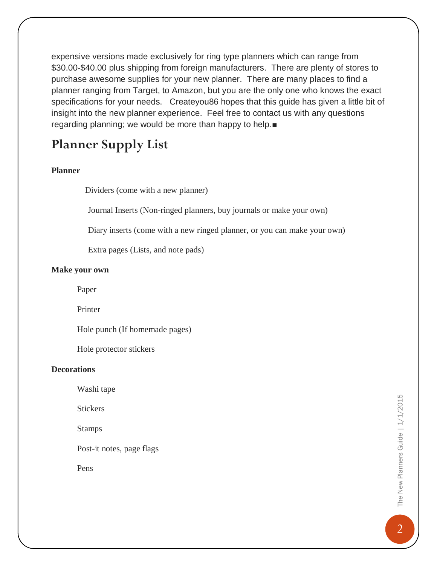expensive versions made exclusively for ring type planners which can range from \$30.00-\$40.00 plus shipping from foreign manufacturers. There are plenty of stores to purchase awesome supplies for your new planner. There are many places to find a planner ranging from Target, to Amazon, but you are the only one who knows the exact specifications for your needs. Createyou86 hopes that this guide has given a little bit of insight into the new planner experience. Feel free to contact us with any questions regarding planning; we would be more than happy to help.■

### **Planner Supply List**

### **Planner**

Dividers (come with a new planner)

Journal Inserts (Non-ringed planners, buy journals or make your own)

Diary inserts (come with a new ringed planner, or you can make your own)

Extra pages (Lists, and note pads)

#### **Make your own**

Paper

Printer

Hole punch (If homemade pages)

Hole protector stickers

### **Decorations**

Washi tape

**Stickers** 

Stamps

Post-it notes, page flags

Pens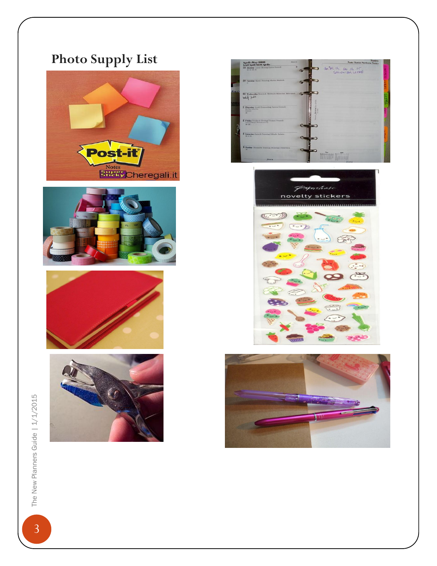## **Photo Supply List**